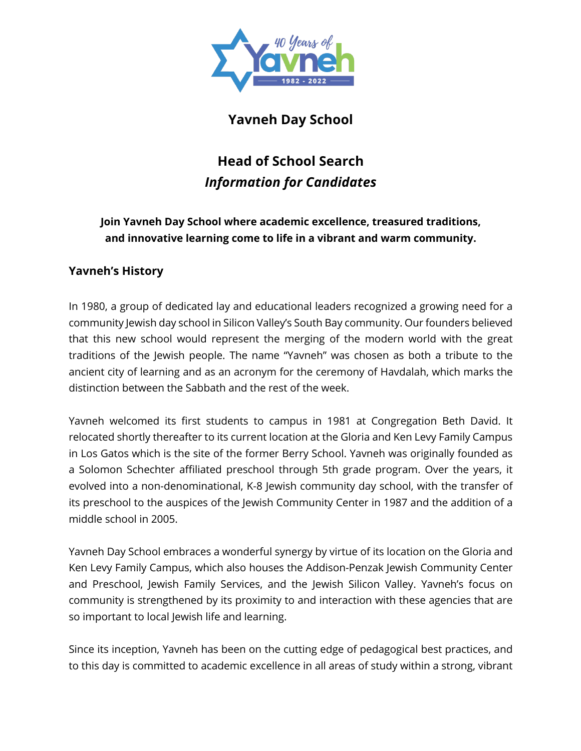

# **Yavneh Day School**

# **Head of School Search** *Information for Candidates*

# **Join Yavneh Day School where academic excellence, treasured traditions, and innovative learning come to life in a vibrant and warm community.**

## **Yavneh's History**

In 1980, a group of dedicated lay and educational leaders recognized a growing need for a community Jewish day school in Silicon Valley's South Bay community. Our founders believed that this new school would represent the merging of the modern world with the great traditions of the Jewish people. The name "Yavneh" was chosen as both a tribute to the ancient city of learning and as an acronym for the ceremony of Havdalah, which marks the distinction between the Sabbath and the rest of the week.

Yavneh welcomed its first students to campus in 1981 at Congregation Beth David. It relocated shortly thereafter to its current location at the Gloria and Ken Levy Family Campus in Los Gatos which is the site of the former Berry School. Yavneh was originally founded as a Solomon Schechter affiliated preschool through 5th grade program. Over the years, it evolved into a non-denominational, K-8 Jewish community day school, with the transfer of its preschool to the auspices of the Jewish Community Center in 1987 and the addition of a middle school in 2005.

Yavneh Day School embraces a wonderful synergy by virtue of its location on the Gloria and Ken Levy Family Campus, which also houses the Addison-Penzak Jewish Community Center and Preschool, Jewish Family Services, and the Jewish Silicon Valley. Yavneh's focus on community is strengthened by its proximity to and interaction with these agencies that are so important to local Jewish life and learning.

Since its inception, Yavneh has been on the cutting edge of pedagogical best practices, and to this day is committed to academic excellence in all areas of study within a strong, vibrant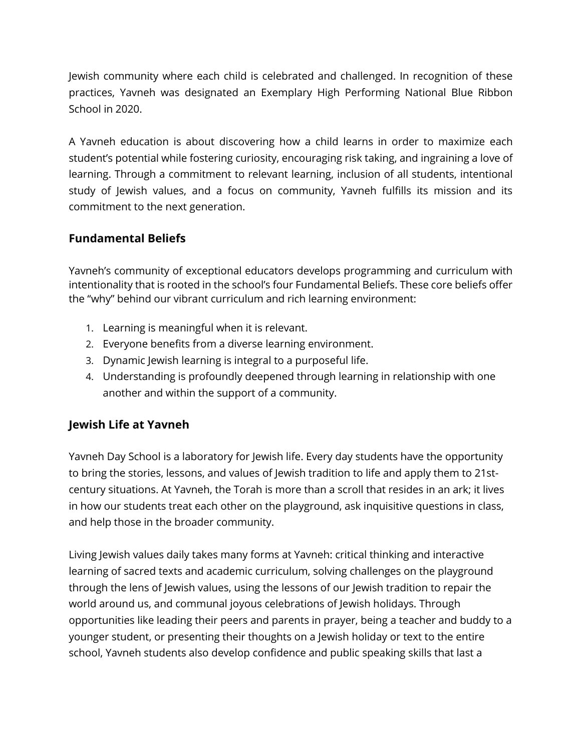Jewish community where each child is celebrated and challenged. In recognition of these practices, Yavneh was designated an Exemplary High Performing National Blue Ribbon School in 2020.

A Yavneh education is about discovering how a child learns in order to maximize each student's potential while fostering curiosity, encouraging risk taking, and ingraining a love of learning. Through a commitment to relevant learning, inclusion of all students, intentional study of Jewish values, and a focus on community, Yavneh fulfills its mission and its commitment to the next generation.

#### **Fundamental Beliefs**

Yavneh's community of exceptional educators develops programming and curriculum with intentionality that is rooted in the school's four Fundamental Beliefs. These core beliefs offer the "why" behind our vibrant curriculum and rich learning environment:

- 1. Learning is meaningful when it is relevant.
- 2. Everyone benefits from a diverse learning environment.
- 3. Dynamic Jewish learning is integral to a purposeful life.
- 4. Understanding is profoundly deepened through learning in relationship with one another and within the support of a community.

## **Jewish Life at Yavneh**

Yavneh Day School is a laboratory for Jewish life. Every day students have the opportunity to bring the stories, lessons, and values of Jewish tradition to life and apply them to 21stcentury situations. At Yavneh, the Torah is more than a scroll that resides in an ark; it lives in how our students treat each other on the playground, ask inquisitive questions in class, and help those in the broader community.

Living Jewish values daily takes many forms at Yavneh: critical thinking and interactive learning of sacred texts and academic curriculum, solving challenges on the playground through the lens of Jewish values, using the lessons of our Jewish tradition to repair the world around us, and communal joyous celebrations of Jewish holidays. Through opportunities like leading their peers and parents in prayer, being a teacher and buddy to a younger student, or presenting their thoughts on a Jewish holiday or text to the entire school, Yavneh students also develop confidence and public speaking skills that last a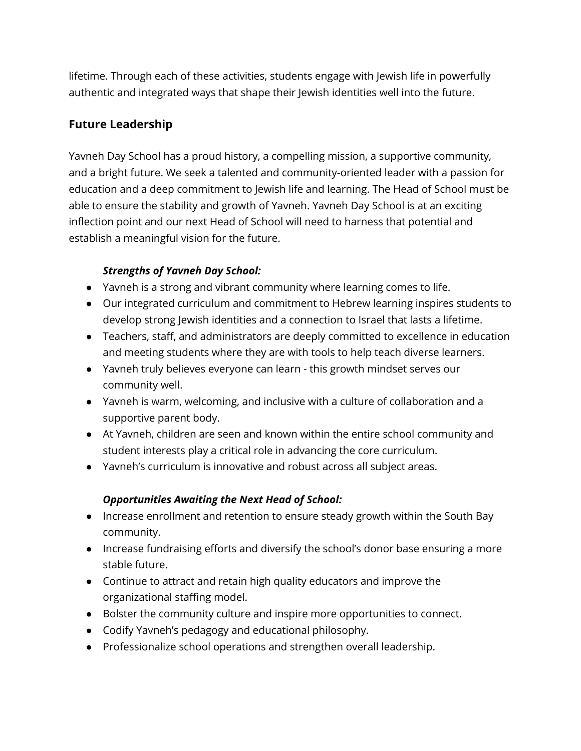lifetime. Through each of these activities, students engage with Jewish life in powerfully authentic and integrated ways that shape their Jewish identities well into the future.

### **Future Leadership**

Yavneh Day School has a proud history, a compelling mission, a supportive community, and a bright future. We seek a talented and community-oriented leader with a passion for education and a deep commitment to Jewish life and learning. The Head of School must be able to ensure the stability and growth of Yavneh. Yavneh Day School is at an exciting inflection point and our next Head of School will need to harness that potential and establish a meaningful vision for the future.

#### *Strengths of Yavneh Day School:*

- Yavneh is a strong and vibrant community where learning comes to life.
- Our integrated curriculum and commitment to Hebrew learning inspires students to develop strong Jewish identities and a connection to Israel that lasts a lifetime.
- Teachers, staff, and administrators are deeply committed to excellence in education and meeting students where they are with tools to help teach diverse learners.
- Yavneh truly believes everyone can learn this growth mindset serves our community well.
- Yavneh is warm, welcoming, and inclusive with a culture of collaboration and a supportive parent body.
- At Yavneh, children are seen and known within the entire school community and student interests play a critical role in advancing the core curriculum.
- Yavneh's curriculum is innovative and robust across all subject areas.

#### *Opportunities Awaiting the Next Head of School:*

- Increase enrollment and retention to ensure steady growth within the South Bay community.
- Increase fundraising efforts and diversify the school's donor base ensuring a more stable future.
- Continue to attract and retain high quality educators and improve the organizational staffing model.
- Bolster the community culture and inspire more opportunities to connect.
- Codify Yavneh's pedagogy and educational philosophy.
- Professionalize school operations and strengthen overall leadership.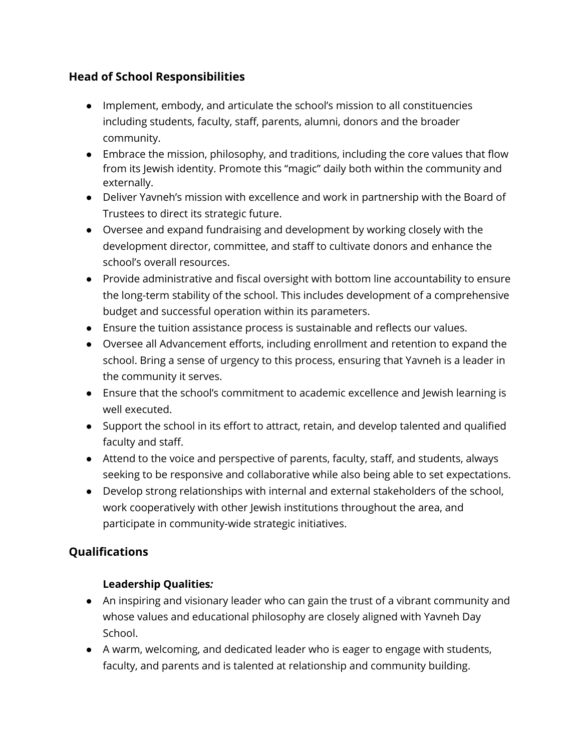## **Head of School Responsibilities**

- Implement, embody, and articulate the school's mission to all constituencies including students, faculty, staff, parents, alumni, donors and the broader community.
- Embrace the mission, philosophy, and traditions, including the core values that flow from its Jewish identity. Promote this "magic" daily both within the community and externally.
- Deliver Yavneh's mission with excellence and work in partnership with the Board of Trustees to direct its strategic future.
- Oversee and expand fundraising and development by working closely with the development director, committee, and staff to cultivate donors and enhance the school's overall resources.
- Provide administrative and fiscal oversight with bottom line accountability to ensure the long-term stability of the school. This includes development of a comprehensive budget and successful operation within its parameters.
- Ensure the tuition assistance process is sustainable and reflects our values.
- Oversee all Advancement efforts, including enrollment and retention to expand the school. Bring a sense of urgency to this process, ensuring that Yavneh is a leader in the community it serves.
- Ensure that the school's commitment to academic excellence and Jewish learning is well executed.
- Support the school in its effort to attract, retain, and develop talented and qualified faculty and staff.
- Attend to the voice and perspective of parents, faculty, staff, and students, always seeking to be responsive and collaborative while also being able to set expectations.
- Develop strong relationships with internal and external stakeholders of the school, work cooperatively with other Jewish institutions throughout the area, and participate in community-wide strategic initiatives.

# **Qualifications**

## **Leadership Qualities***:*

- An inspiring and visionary leader who can gain the trust of a vibrant community and whose values and educational philosophy are closely aligned with Yavneh Day School.
- A warm, welcoming, and dedicated leader who is eager to engage with students, faculty, and parents and is talented at relationship and community building.